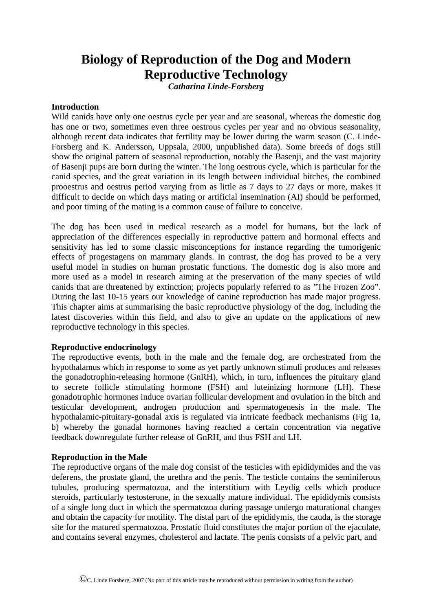# **Biology of Reproduction of the Dog and Modern Reproductive Technology**

*Catharina Linde-Forsberg* 

# **Introduction**

Wild canids have only one oestrus cycle per year and are seasonal, whereas the domestic dog has one or two, sometimes even three oestrous cycles per year and no obvious seasonality, although recent data indicates that fertility may be lower during the warm season (C. Linde-Forsberg and K. Andersson, Uppsala, 2000, unpublished data). Some breeds of dogs still show the original pattern of seasonal reproduction, notably the Basenii, and the vast majority of Basenji pups are born during the winter. The long oestrous cycle, which is particular for the canid species, and the great variation in its length between individual bitches, the combined prooestrus and oestrus period varying from as little as 7 days to 27 days or more, makes it difficult to decide on which days mating or artificial insemination (AI) should be performed, and poor timing of the mating is a common cause of failure to conceive.

The dog has been used in medical research as a model for humans, but the lack of appreciation of the differences especially in reproductive pattern and hormonal effects and sensitivity has led to some classic misconceptions for instance regarding the tumorigenic effects of progestagens on mammary glands. In contrast, the dog has proved to be a very useful model in studies on human prostatic functions. The domestic dog is also more and more used as a model in research aiming at the preservation of the many species of wild canids that are threatened by extinction; projects popularly referred to as "The Frozen Zoo". During the last 10-15 years our knowledge of canine reproduction has made major progress. This chapter aims at summarising the basic reproductive physiology of the dog, including the latest discoveries within this field, and also to give an update on the applications of new reproductive technology in this species.

# **Reproductive endocrinology**

The reproductive events, both in the male and the female dog, are orchestrated from the hypothalamus which in response to some as yet partly unknown stimuli produces and releases the gonadotrophin-releasing hormone (GnRH), which, in turn, influences the pituitary gland to secrete follicle stimulating hormone (FSH) and luteinizing hormone (LH). These gonadotrophic hormones induce ovarian follicular development and ovulation in the bitch and testicular development, androgen production and spermatogenesis in the male. The hypothalamic-pituitary-gonadal axis is regulated via intricate feedback mechanisms (Fig 1a, b) whereby the gonadal hormones having reached a certain concentration via negative feedback downregulate further release of GnRH, and thus FSH and LH.

# **Reproduction in the Male**

The reproductive organs of the male dog consist of the testicles with epididymides and the vas deferens, the prostate gland, the urethra and the penis. The testicle contains the seminiferous tubules, producing spermatozoa, and the interstitium with Leydig cells which produce steroids, particularly testosterone, in the sexually mature individual. The epididymis consists of a single long duct in which the spermatozoa during passage undergo maturational changes and obtain the capacity for motility. The distal part of the epididymis, the cauda, is the storage site for the matured spermatozoa. Prostatic fluid constitutes the major portion of the ejaculate, and contains several enzymes, cholesterol and lactate. The penis consists of a pelvic part, and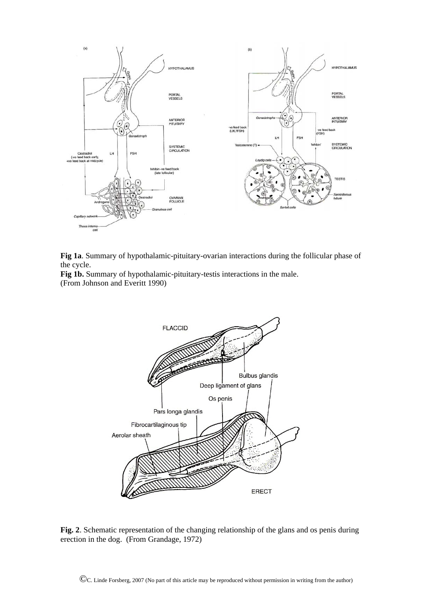

**Fig 1a**. Summary of hypothalamic-pituitary-ovarian interactions during the follicular phase of the cycle.

**Fig 1b.** Summary of hypothalamic-pituitary-testis interactions in the male. (From Johnson and Everitt 1990)



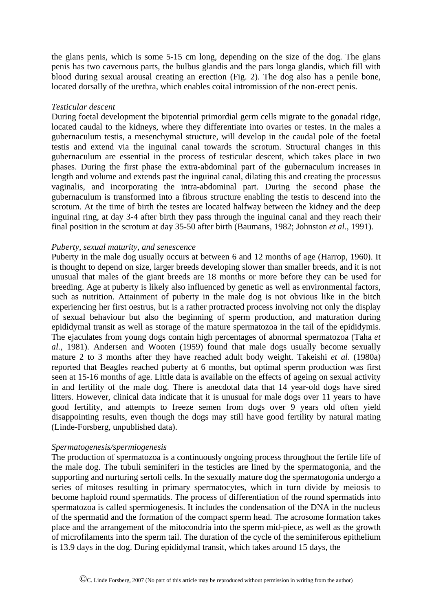the glans penis, which is some 5-15 cm long, depending on the size of the dog. The glans penis has two cavernous parts, the bulbus glandis and the pars longa glandis, which fill with blood during sexual arousal creating an erection (Fig. 2). The dog also has a penile bone, located dorsally of the urethra, which enables coital intromission of the non-erect penis.

## *Testicular descent*

During foetal development the bipotential primordial germ cells migrate to the gonadal ridge, located caudal to the kidneys, where they differentiate into ovaries or testes. In the males a gubernaculum testis, a mesenchymal structure, will develop in the caudal pole of the foetal testis and extend via the inguinal canal towards the scrotum. Structural changes in this gubernaculum are essential in the process of testicular descent, which takes place in two phases. During the first phase the extra-abdominal part of the gubernaculum increases in length and volume and extends past the inguinal canal, dilating this and creating the processus vaginalis, and incorporating the intra-abdominal part. During the second phase the gubernaculum is transformed into a fibrous structure enabling the testis to descend into the scrotum. At the time of birth the testes are located halfway between the kidney and the deep inguinal ring, at day 3-4 after birth they pass through the inguinal canal and they reach their final position in the scrotum at day 35-50 after birth (Baumans, 1982; Johnston *et al*., 1991).

#### *Puberty, sexual maturity, and senescence*

Puberty in the male dog usually occurs at between 6 and 12 months of age (Harrop, 1960). It is thought to depend on size, larger breeds developing slower than smaller breeds, and it is not unusual that males of the giant breeds are 18 months or more before they can be used for breeding. Age at puberty is likely also influenced by genetic as well as environmental factors, such as nutrition. Attainment of puberty in the male dog is not obvious like in the bitch experiencing her first oestrus, but is a rather protracted process involving not only the display of sexual behaviour but also the beginning of sperm production, and maturation during epididymal transit as well as storage of the mature spermatozoa in the tail of the epididymis. The ejaculates from young dogs contain high percentages of abnormal spermatozoa (Taha *et al.*, 1981). Andersen and Wooten (1959) found that male dogs usually become sexually mature 2 to 3 months after they have reached adult body weight. Takeishi *et al*. (1980a) reported that Beagles reached puberty at 6 months, but optimal sperm production was first seen at 15-16 months of age. Little data is available on the effects of ageing on sexual activity in and fertility of the male dog. There is anecdotal data that 14 year-old dogs have sired litters. However, clinical data indicate that it is unusual for male dogs over 11 years to have good fertility, and attempts to freeze semen from dogs over 9 years old often yield disappointing results, even though the dogs may still have good fertility by natural mating (Linde-Forsberg, unpublished data).

#### *Spermatogenesis/spermiogenesis*

The production of spermatozoa is a continuously ongoing process throughout the fertile life of the male dog. The tubuli seminiferi in the testicles are lined by the spermatogonia, and the supporting and nurturing sertoli cells. In the sexually mature dog the spermatogonia undergo a series of mitoses resulting in primary spermatocytes, which in turn divide by meiosis to become haploid round spermatids. The process of differentiation of the round spermatids into spermatozoa is called spermiogenesis. It includes the condensation of the DNA in the nucleus of the spermatid and the formation of the compact sperm head. The acrosome formation takes place and the arrangement of the mitocondria into the sperm mid-piece, as well as the growth of microfilaments into the sperm tail. The duration of the cycle of the seminiferous epithelium is 13.9 days in the dog. During epididymal transit, which takes around 15 days, the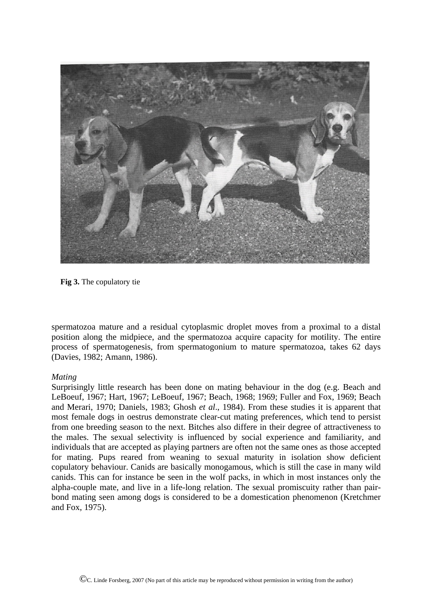

**Fig 3.** The copulatory tie

spermatozoa mature and a residual cytoplasmic droplet moves from a proximal to a distal position along the midpiece, and the spermatozoa acquire capacity for motility. The entire process of spermatogenesis, from spermatogonium to mature spermatozoa, takes 62 days (Davies, 1982; Amann, 1986).

# *Mating*

Surprisingly little research has been done on mating behaviour in the dog (e.g. Beach and LeBoeuf, 1967; Hart, 1967; LeBoeuf, 1967; Beach, 1968; 1969; Fuller and Fox, 1969; Beach and Merari, 1970; Daniels, 1983; Ghosh *et al*., 1984). From these studies it is apparent that most female dogs in oestrus demonstrate clear-cut mating preferences, which tend to persist from one breeding season to the next. Bitches also differe in their degree of attractiveness to the males. The sexual selectivity is influenced by social experience and familiarity, and individuals that are accepted as playing partners are often not the same ones as those accepted for mating. Pups reared from weaning to sexual maturity in isolation show deficient copulatory behaviour. Canids are basically monogamous, which is still the case in many wild canids. This can for instance be seen in the wolf packs, in which in most instances only the alpha-couple mate, and live in a life-long relation. The sexual promiscuity rather than pairbond mating seen among dogs is considered to be a domestication phenomenon (Kretchmer and Fox, 1975).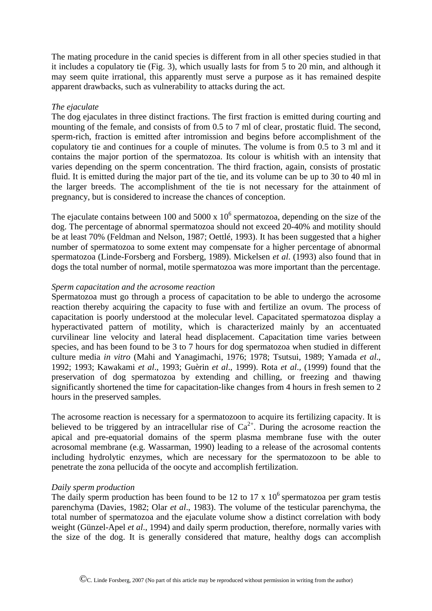The mating procedure in the canid species is different from in all other species studied in that it includes a copulatory tie (Fig. 3), which usually lasts for from 5 to 20 min, and although it may seem quite irrational, this apparently must serve a purpose as it has remained despite apparent drawbacks, such as vulnerability to attacks during the act.

# *The ejaculate*

The dog ejaculates in three distinct fractions. The first fraction is emitted during courting and mounting of the female, and consists of from 0.5 to 7 ml of clear, prostatic fluid. The second, sperm-rich, fraction is emitted after intromission and begins before accomplishment of the copulatory tie and continues for a couple of minutes. The volume is from 0.5 to 3 ml and it contains the major portion of the spermatozoa. Its colour is whitish with an intensity that varies depending on the sperm concentration. The third fraction, again, consists of prostatic fluid. It is emitted during the major part of the tie, and its volume can be up to 30 to 40 ml in the larger breeds. The accomplishment of the tie is not necessary for the attainment of pregnancy, but is considered to increase the chances of conception.

The ejaculate contains between 100 and 5000 x  $10^6$  spermatozoa, depending on the size of the dog. The percentage of abnormal spermatozoa should not exceed 20-40% and motility should be at least 70% (Feldman and Nelson, 1987; Oettlé, 1993). It has been suggested that a higher number of spermatozoa to some extent may compensate for a higher percentage of abnormal spermatozoa (Linde-Forsberg and Forsberg, 1989). Mickelsen *et al*. (1993) also found that in dogs the total number of normal, motile spermatozoa was more important than the percentage.

# *Sperm capacitation and the acrosome reaction*

Spermatozoa must go through a process of capacitation to be able to undergo the acrosome reaction thereby acquiring the capacity to fuse with and fertilize an ovum. The process of capacitation is poorly understood at the molecular level. Capacitated spermatozoa display a hyperactivated pattern of motility, which is characterized mainly by an accentuated curvilinear line velocity and lateral head displacement. Capacitation time varies between species, and has been found to be 3 to 7 hours for dog spermatozoa when studied in different culture media *in vitro* (Mahi and Yanagimachi, 1976; 1978; Tsutsui, 1989; Yamada *et al*., 1992; 1993; Kawakami *et al*., 1993; Guèrin *et al*., 1999). Rota *et al*., (1999) found that the preservation of dog spermatozoa by extending and chilling, or freezing and thawing significantly shortened the time for capacitation-like changes from 4 hours in fresh semen to 2 hours in the preserved samples.

The acrosome reaction is necessary for a spermatozoon to acquire its fertilizing capacity. It is believed to be triggered by an intracellular rise of  $Ca^{2+}$ . During the acrosome reaction the apical and pre-equatorial domains of the sperm plasma membrane fuse with the outer acrosomal membrane (e.g. Wassarman, 1990) leading to a release of the acrosomal contents including hydrolytic enzymes, which are necessary for the spermatozoon to be able to penetrate the zona pellucida of the oocyte and accomplish fertilization.

# *Daily sperm production*

The daily sperm production has been found to be 12 to 17 x  $10^6$  spermatozoa per gram testis parenchyma (Davies, 1982; Olar *et al*., 1983). The volume of the testicular parenchyma, the total number of spermatozoa and the ejaculate volume show a distinct correlation with body weight (Günzel-Apel *et al*., 1994) and daily sperm production, therefore, normally varies with the size of the dog. It is generally considered that mature, healthy dogs can accomplish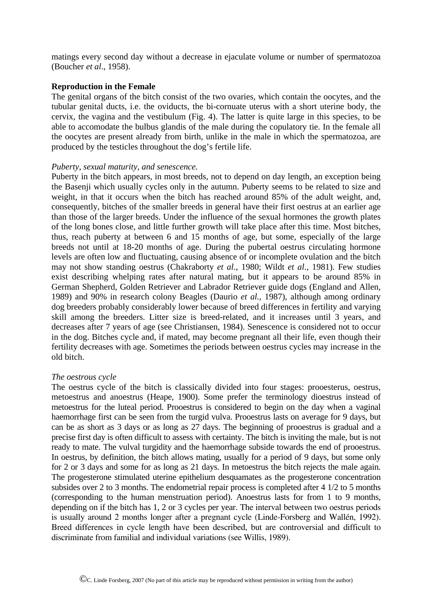matings every second day without a decrease in ejaculate volume or number of spermatozoa (Boucher *et al*., 1958).

## **Reproduction in the Female**

The genital organs of the bitch consist of the two ovaries, which contain the oocytes, and the tubular genital ducts, i.e. the oviducts, the bi-cornuate uterus with a short uterine body, the cervix, the vagina and the vestibulum (Fig. 4). The latter is quite large in this species, to be able to accomodate the bulbus glandis of the male during the copulatory tie. In the female all the oocytes are present already from birth, unlike in the male in which the spermatozoa, are produced by the testicles throughout the dog's fertile life.

#### *Puberty, sexual maturity, and senescence.*

Puberty in the bitch appears, in most breeds, not to depend on day length, an exception being the Basenji which usually cycles only in the autumn. Puberty seems to be related to size and weight, in that it occurs when the bitch has reached around 85% of the adult weight, and, consequently, bitches of the smaller breeds in general have their first oestrus at an earlier age than those of the larger breeds. Under the influence of the sexual hormones the growth plates of the long bones close, and little further growth will take place after this time. Most bitches, thus, reach puberty at between 6 and 15 months of age, but some, especially of the large breeds not until at 18-20 months of age. During the pubertal oestrus circulating hormone levels are often low and fluctuating, causing absence of or incomplete ovulation and the bitch may not show standing oestrus (Chakraborty *et al*., 1980; Wildt *et al*., 1981). Few studies exist describing whelping rates after natural mating, but it appears to be around 85% in German Shepherd, Golden Retriever and Labrador Retriever guide dogs (England and Allen, 1989) and 90% in research colony Beagles (Daurio *et al.*, 1987), although among ordinary dog breeders probably considerably lower because of breed differences in fertility and varying skill among the breeders. Litter size is breed-related, and it increases until 3 years, and decreases after 7 years of age (see Christiansen, 1984). Senescence is considered not to occur in the dog. Bitches cycle and, if mated, may become pregnant all their life, even though their fertility decreases with age. Sometimes the periods between oestrus cycles may increase in the old bitch.

#### *The oestrous cycle*

The oestrus cycle of the bitch is classically divided into four stages: prooesterus, oestrus, metoestrus and anoestrus (Heape, 1900). Some prefer the terminology dioestrus instead of metoestrus for the luteal period. Prooestrus is considered to begin on the day when a vaginal haemorrhage first can be seen from the turgid vulva. Prooestrus lasts on average for 9 days, but can be as short as 3 days or as long as 27 days. The beginning of prooestrus is gradual and a precise first day is often difficult to assess with certainty. The bitch is inviting the male, but is not ready to mate. The vulval turgidity and the haemorrhage subside towards the end of prooestrus. In oestrus, by definition, the bitch allows mating, usually for a period of 9 days, but some only for 2 or 3 days and some for as long as 21 days. In metoestrus the bitch rejects the male again. The progesterone stimulated uterine epithelium desquamates as the progesterone concentration subsides over 2 to 3 months. The endometrial repair process is completed after 4 1/2 to 5 months (corresponding to the human menstruation period). Anoestrus lasts for from 1 to 9 months, depending on if the bitch has 1, 2 or 3 cycles per year. The interval between two oestrus periods is usually around 2 months longer after a pregnant cycle (Linde-Forsberg and Wallén, 1992). Breed differences in cycle length have been described, but are controversial and difficult to discriminate from familial and individual variations (see Willis, 1989).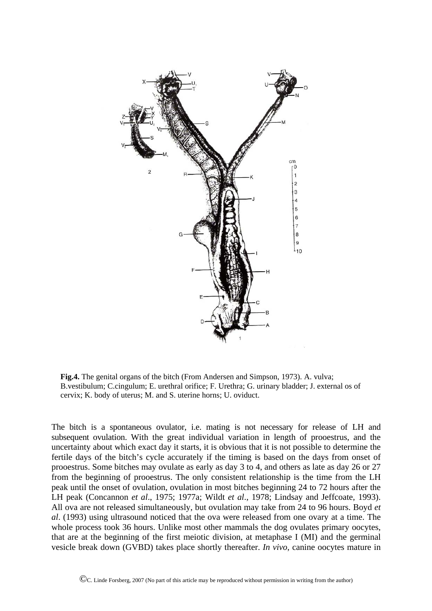

**Fig.4.** The genital organs of the bitch (From Andersen and Simpson, 1973). A. vulva; B.vestibulum; C.cingulum; E. urethral orifice; F. Urethra; G. urinary bladder; J. external os of cervix; K. body of uterus; M. and S. uterine horns; U. oviduct.

The bitch is a spontaneous ovulator, i.e. mating is not necessary for release of LH and subsequent ovulation. With the great individual variation in length of prooestrus, and the uncertainty about which exact day it starts, it is obvious that it is not possible to determine the fertile days of the bitch's cycle accurately if the timing is based on the days from onset of prooestrus. Some bitches may ovulate as early as day 3 to 4, and others as late as day 26 or 27 from the beginning of prooestrus. The only consistent relationship is the time from the LH peak until the onset of ovulation, ovulation in most bitches beginning 24 to 72 hours after the LH peak (Concannon *et al*., 1975; 1977a; Wildt *et al*., 1978; Lindsay and Jeffcoate, 1993). All ova are not released simultaneously, but ovulation may take from 24 to 96 hours. Boyd *et al*. (1993) using ultrasound noticed that the ova were released from one ovary at a time. The whole process took 36 hours. Unlike most other mammals the dog ovulates primary oocytes, that are at the beginning of the first meiotic division, at metaphase I (MI) and the germinal vesicle break down (GVBD) takes place shortly thereafter. *In vivo*, canine oocytes mature in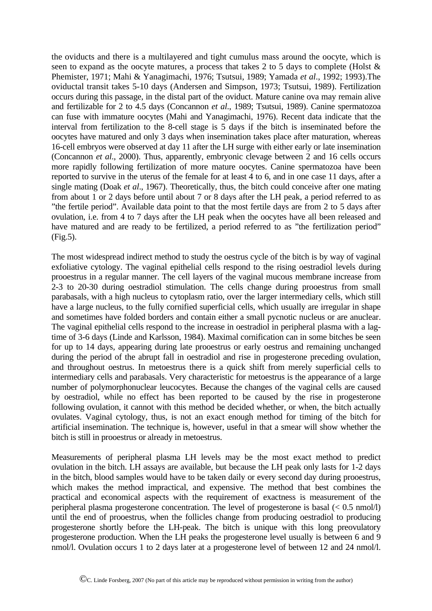the oviducts and there is a multilayered and tight cumulus mass around the oocyte, which is seen to expand as the oocyte matures, a process that takes 2 to 5 days to complete (Holst & Phemister, 1971; Mahi & Yanagimachi, 1976; Tsutsui, 1989; Yamada *et al*., 1992; 1993).The oviductal transit takes 5-10 days (Andersen and Simpson, 1973; Tsutsui, 1989). Fertilization occurs during this passage, in the distal part of the oviduct. Mature canine ova may remain alive and fertilizable for 2 to 4.5 days (Concannon *et al*., 1989; Tsutsui, 1989). Canine spermatozoa can fuse with immature oocytes (Mahi and Yanagimachi, 1976). Recent data indicate that the interval from fertilization to the 8-cell stage is 5 days if the bitch is inseminated before the oocytes have matured and only 3 days when insemination takes place after maturation, whereas 16-cell embryos were observed at day 11 after the LH surge with either early or late insemination (Concannon *et al*., 2000). Thus, apparently, embryonic clevage between 2 and 16 cells occurs more rapidly following fertilization of more mature oocytes. Canine spermatozoa have been reported to survive in the uterus of the female for at least 4 to 6, and in one case 11 days, after a single mating (Doak *et al*., 1967). Theoretically, thus, the bitch could conceive after one mating from about 1 or 2 days before until about 7 or 8 days after the LH peak, a period referred to as "the fertile period". Available data point to that the most fertile days are from 2 to 5 days after ovulation, i.e. from 4 to 7 days after the LH peak when the oocytes have all been released and have matured and are ready to be fertilized, a period referred to as "the fertilization period" (Fig.5).

The most widespread indirect method to study the oestrus cycle of the bitch is by way of vaginal exfoliative cytology. The vaginal epithelial cells respond to the rising oestradiol levels during prooestrus in a regular manner. The cell layers of the vaginal mucous membrane increase from 2-3 to 20-30 during oestradiol stimulation. The cells change during prooestrus from small parabasals, with a high nucleus to cytoplasm ratio, over the larger intermediary cells, which still have a large nucleus, to the fully cornified superficial cells, which usually are irregular in shape and sometimes have folded borders and contain either a small pycnotic nucleus or are anuclear. The vaginal epithelial cells respond to the increase in oestradiol in peripheral plasma with a lagtime of 3-6 days (Linde and Karlsson, 1984). Maximal cornification can in some bitches be seen for up to 14 days, appearing during late prooestrus or early oestrus and remaining unchanged during the period of the abrupt fall in oestradiol and rise in progesterone preceding ovulation, and throughout oestrus. In metoestrus there is a quick shift from merely superficial cells to intermediary cells and parabasals. Very characteristic for metoestrus is the appearance of a large number of polymorphonuclear leucocytes. Because the changes of the vaginal cells are caused by oestradiol, while no effect has been reported to be caused by the rise in progesterone following ovulation, it cannot with this method be decided whether, or when, the bitch actually ovulates. Vaginal cytology, thus, is not an exact enough method for timing of the bitch for artificial insemination. The technique is, however, useful in that a smear will show whether the bitch is still in prooestrus or already in metoestrus.

Measurements of peripheral plasma LH levels may be the most exact method to predict ovulation in the bitch. LH assays are available, but because the LH peak only lasts for 1-2 days in the bitch, blood samples would have to be taken daily or every second day during prooestrus, which makes the method impractical, and expensive. The method that best combines the practical and economical aspects with the requirement of exactness is measurement of the peripheral plasma progesterone concentration. The level of progesterone is basal  $\leq 0.5$  nmol $\alpha$ until the end of prooestrus, when the follicles change from producing oestradiol to producing progesterone shortly before the LH-peak. The bitch is unique with this long preovulatory progesterone production. When the LH peaks the progesterone level usually is between 6 and 9 nmol/l. Ovulation occurs 1 to 2 days later at a progesterone level of between 12 and 24 nmol/l.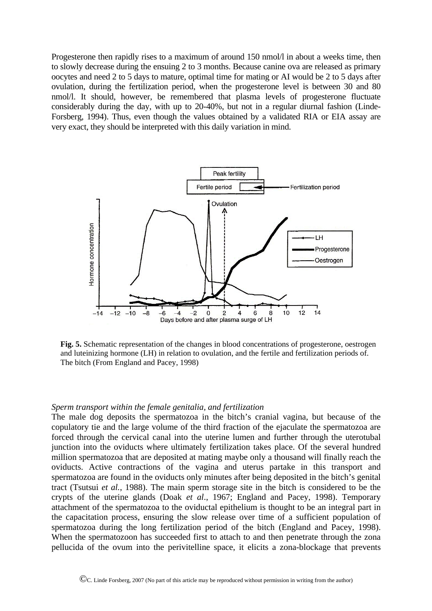Progesterone then rapidly rises to a maximum of around 150 nmol/l in about a weeks time, then to slowly decrease during the ensuing 2 to 3 months. Because canine ova are released as primary oocytes and need 2 to 5 days to mature, optimal time for mating or AI would be 2 to 5 days after ovulation, during the fertilization period, when the progesterone level is between 30 and 80 nmol/l. It should, however, be remembered that plasma levels of progesterone fluctuate considerably during the day, with up to 20-40%, but not in a regular diurnal fashion (Linde-Forsberg, 1994). Thus, even though the values obtained by a validated RIA or EIA assay are very exact, they should be interpreted with this daily variation in mind.



**Fig. 5.** Schematic representation of the changes in blood concentrations of progesterone, oestrogen and luteinizing hormone (LH) in relation to ovulation, and the fertile and fertilization periods of. The bitch (From England and Pacey, 1998)

#### *Sperm transport within the female genitalia, and fertilization*

The male dog deposits the spermatozoa in the bitch's cranial vagina, but because of the copulatory tie and the large volume of the third fraction of the ejaculate the spermatozoa are forced through the cervical canal into the uterine lumen and further through the uterotubal junction into the oviducts where ultimately fertilization takes place. Of the several hundred million spermatozoa that are deposited at mating maybe only a thousand will finally reach the oviducts. Active contractions of the vagina and uterus partake in this transport and spermatozoa are found in the oviducts only minutes after being deposited in the bitch's genital tract (Tsutsui *et al.*, 1988). The main sperm storage site in the bitch is considered to be the crypts of the uterine glands (Doak *et al*., 1967; England and Pacey, 1998). Temporary attachment of the spermatozoa to the oviductal epithelium is thought to be an integral part in the capacitation process, ensuring the slow release over time of a sufficient population of spermatozoa during the long fertilization period of the bitch (England and Pacey, 1998). When the spermatozoon has succeeded first to attach to and then penetrate through the zona pellucida of the ovum into the perivitelline space, it elicits a zona-blockage that prevents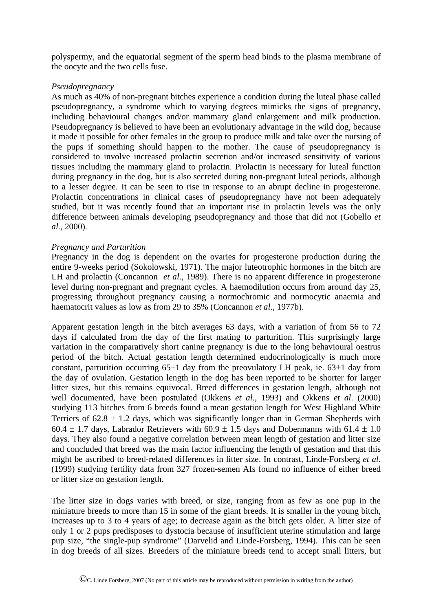polyspermy, and the equatorial segment of the sperm head binds to the plasma membrane of the oocyte and the two cells fuse.

## *Pseudopregnancy*

As much as 40% of non-pregnant bitches experience a condition during the luteal phase called pseudopregnancy, a syndrome which to varying degrees mimicks the signs of pregnancy, including behavioural changes and/or mammary gland enlargement and milk production. Pseudopregnancy is believed to have been an evolutionary advantage in the wild dog, because it made it possible for other females in the group to produce milk and take over the nursing of the pups if something should happen to the mother. The cause of pseudopregnancy is considered to involve increased prolactin secretion and/or increased sensitivity of various tissues including the mammary gland to prolactin. Prolactin is necessary for luteal function during pregnancy in the dog, but is also secreted during non-pregnant luteal periods, although to a lesser degree. It can be seen to rise in response to an abrupt decline in progesterone. Prolactin concentrations in clinical cases of pseudopregnancy have not been adequately studied, but it was recently found that an important rise in prolactin levels was the only difference between animals developing pseudopregnancy and those that did not (Gobello *et al.*, 2000).

# *Pregnancy and Parturition*

Pregnancy in the dog is dependent on the ovaries for progesterone production during the entire 9-weeks period (Sokolowski, 1971). The major luteotrophic hormones in the bitch are LH and prolactin (Concannon *et al*., 1989). There is no apparent difference in progesterone level during non-pregnant and pregnant cycles. A haemodilution occurs from around day 25, progressing throughout pregnancy causing a normochromic and normocytic anaemia and haematocrit values as low as from 29 to 35% (Concannon *et al*., 1977b).

Apparent gestation length in the bitch averages 63 days, with a variation of from 56 to 72 days if calculated from the day of the first mating to parturition. This surprisingly large variation in the comparatively short canine pregnancy is due to the long behavioural oestrus period of the bitch. Actual gestation length determined endocrinologically is much more constant, parturition occurring  $65\pm1$  day from the preovulatory LH peak, ie.  $63\pm1$  day from the day of ovulation. Gestation length in the dog has been reported to be shorter for larger litter sizes, but this remains equivocal. Breed differences in gestation length, although not well documented, have been postulated (Okkens *et al*., 1993) and Okkens *et al*. (2000) studying 113 bitches from 6 breeds found a mean gestation length for West Highland White Terriers of  $62.8 \pm 1.2$  days, which was significantly longer than in German Shepherds with 60.4  $\pm$  1.7 days, Labrador Retrievers with 60.9  $\pm$  1.5 days and Dobermanns with 61.4  $\pm$  1.0 days. They also found a negative correlation between mean length of gestation and litter size and concluded that breed was the main factor influencing the length of gestation and that this might be ascribed to breed-related differences in litter size. In contrast, Linde-Forsberg *et al*. (1999) studying fertility data from 327 frozen-semen AIs found no influence of either breed or litter size on gestation length.

The litter size in dogs varies with breed, or size, ranging from as few as one pup in the miniature breeds to more than 15 in some of the giant breeds. It is smaller in the young bitch, increases up to 3 to 4 years of age; to decrease again as the bitch gets older. A litter size of only 1 or 2 pups predisposes to dystocia because of insufficient uterine stimulation and large pup size, "the single-pup syndrome" (Darvelid and Linde-Forsberg, 1994). This can be seen in dog breeds of all sizes. Breeders of the miniature breeds tend to accept small litters, but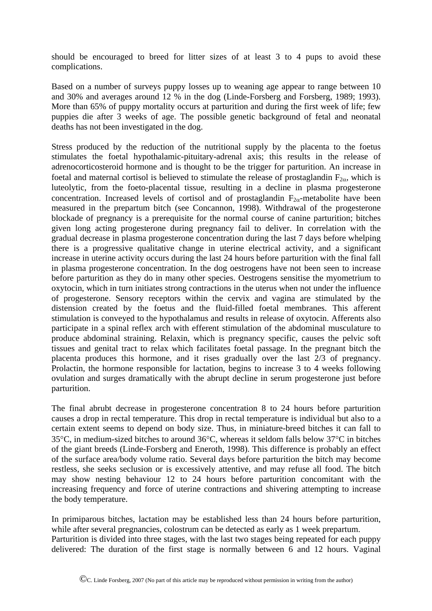should be encouraged to breed for litter sizes of at least 3 to 4 pups to avoid these complications.

Based on a number of surveys puppy losses up to weaning age appear to range between 10 and 30% and averages around 12 % in the dog (Linde-Forsberg and Forsberg, 1989; 1993). More than 65% of puppy mortality occurs at parturition and during the first week of life; few puppies die after 3 weeks of age. The possible genetic background of fetal and neonatal deaths has not been investigated in the dog.

Stress produced by the reduction of the nutritional supply by the placenta to the foetus stimulates the foetal hypothalamic-pituitary-adrenal axis; this results in the release of adrenocorticosteroid hormone and is thought to be the trigger for parturition. An increase in foetal and maternal cortisol is believed to stimulate the release of prostaglandin  $F_{2\alpha}$ , which is luteolytic, from the foeto-placental tissue, resulting in a decline in plasma progesterone concentration. Increased levels of cortisol and of prostaglandin  $F_{2\alpha}$ -metabolite have been measured in the prepartum bitch (see Concannon, 1998). Withdrawal of the progesterone blockade of pregnancy is a prerequisite for the normal course of canine parturition; bitches given long acting progesterone during pregnancy fail to deliver. In correlation with the gradual decrease in plasma progesterone concentration during the last 7 days before whelping there is a progressive qualitative change in uterine electrical activity, and a significant increase in uterine activity occurs during the last 24 hours before parturition with the final fall in plasma progesterone concentration. In the dog oestrogens have not been seen to increase before parturition as they do in many other species. Oestrogens sensitise the myometrium to oxytocin, which in turn initiates strong contractions in the uterus when not under the influence of progesterone. Sensory receptors within the cervix and vagina are stimulated by the distension created by the foetus and the fluid-filled foetal membranes. This afferent stimulation is conveyed to the hypothalamus and results in release of oxytocin. Afferents also participate in a spinal reflex arch with efferent stimulation of the abdominal musculature to produce abdominal straining. Relaxin, which is pregnancy specific, causes the pelvic soft tissues and genital tract to relax which facilitates foetal passage. In the pregnant bitch the placenta produces this hormone, and it rises gradually over the last 2/3 of pregnancy. Prolactin, the hormone responsible for lactation, begins to increase 3 to 4 weeks following ovulation and surges dramatically with the abrupt decline in serum progesterone just before parturition.

The final abrubt decrease in progesterone concentration 8 to 24 hours before parturition causes a drop in rectal temperature. This drop in rectal temperature is individual but also to a certain extent seems to depend on body size. Thus, in miniature-breed bitches it can fall to 35°C, in medium-sized bitches to around 36°C, whereas it seldom falls below 37°C in bitches of the giant breeds (Linde-Forsberg and Eneroth, 1998). This difference is probably an effect of the surface area/body volume ratio. Several days before parturition the bitch may become restless, she seeks seclusion or is excessively attentive, and may refuse all food. The bitch may show nesting behaviour 12 to 24 hours before parturition concomitant with the increasing frequency and force of uterine contractions and shivering attempting to increase the body temperature.

In primiparous bitches, lactation may be established less than 24 hours before parturition, while after several pregnancies, colostrum can be detected as early as 1 week prepartum. Parturition is divided into three stages, with the last two stages being repeated for each puppy delivered: The duration of the first stage is normally between 6 and 12 hours. Vaginal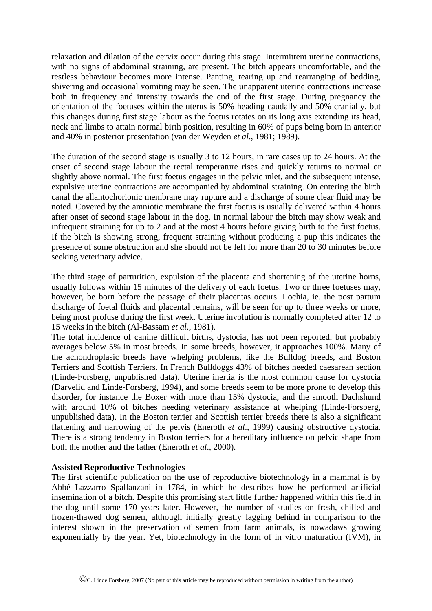relaxation and dilation of the cervix occur during this stage. Intermittent uterine contractions, with no signs of abdominal straining, are present. The bitch appears uncomfortable, and the restless behaviour becomes more intense. Panting, tearing up and rearranging of bedding, shivering and occasional vomiting may be seen. The unapparent uterine contractions increase both in frequency and intensity towards the end of the first stage. During pregnancy the orientation of the foetuses within the uterus is 50% heading caudally and 50% cranially, but this changes during first stage labour as the foetus rotates on its long axis extending its head, neck and limbs to attain normal birth position, resulting in 60% of pups being born in anterior and 40% in posterior presentation (van der Weyden *et al*., 1981; 1989).

The duration of the second stage is usually 3 to 12 hours, in rare cases up to 24 hours. At the onset of second stage labour the rectal temperature rises and quickly returns to normal or slightly above normal. The first foetus engages in the pelvic inlet, and the subsequent intense, expulsive uterine contractions are accompanied by abdominal straining. On entering the birth canal the allantochorionic membrane may rupture and a discharge of some clear fluid may be noted. Covered by the amniotic membrane the first foetus is usually delivered within 4 hours after onset of second stage labour in the dog. In normal labour the bitch may show weak and infrequent straining for up to 2 and at the most 4 hours before giving birth to the first foetus. If the bitch is showing strong, frequent straining without producing a pup this indicates the presence of some obstruction and she should not be left for more than 20 to 30 minutes before seeking veterinary advice.

The third stage of parturition, expulsion of the placenta and shortening of the uterine horns, usually follows within 15 minutes of the delivery of each foetus. Two or three foetuses may, however, be born before the passage of their placentas occurs. Lochia, ie. the post partum discharge of foetal fluids and placental remains, will be seen for up to three weeks or more, being most profuse during the first week. Uterine involution is normally completed after 12 to 15 weeks in the bitch (Al-Bassam *et al*., 1981).

The total incidence of canine difficult births, dystocia, has not been reported, but probably averages below 5% in most breeds. In some breeds, however, it approaches 100%. Many of the achondroplasic breeds have whelping problems, like the Bulldog breeds, and Boston Terriers and Scottish Terriers. In French Bulldoggs 43% of bitches needed caesarean section (Linde-Forsberg, unpublished data). Uterine inertia is the most common cause for dystocia (Darvelid and Linde-Forsberg, 1994), and some breeds seem to be more prone to develop this disorder, for instance the Boxer with more than 15% dystocia, and the smooth Dachshund with around 10% of bitches needing veterinary assistance at whelping (Linde-Forsberg, unpublished data). In the Boston terrier and Scottish terrier breeds there is also a significant flattening and narrowing of the pelvis (Eneroth *et al*., 1999) causing obstructive dystocia. There is a strong tendency in Boston terriers for a hereditary influence on pelvic shape from both the mother and the father (Eneroth *et al*., 2000).

# **Assisted Reproductive Technologies**

The first scientific publication on the use of reproductive biotechnology in a mammal is by Abbé Lazzarro Spallanzani in 1784, in which he describes how he performed artificial insemination of a bitch. Despite this promising start little further happened within this field in the dog until some 170 years later. However, the number of studies on fresh, chilled and frozen-thawed dog semen, although initially greatly lagging behind in comparison to the interest shown in the preservation of semen from farm animals, is nowadaws growing exponentially by the year. Yet, biotechnology in the form of in vitro maturation (IVM), in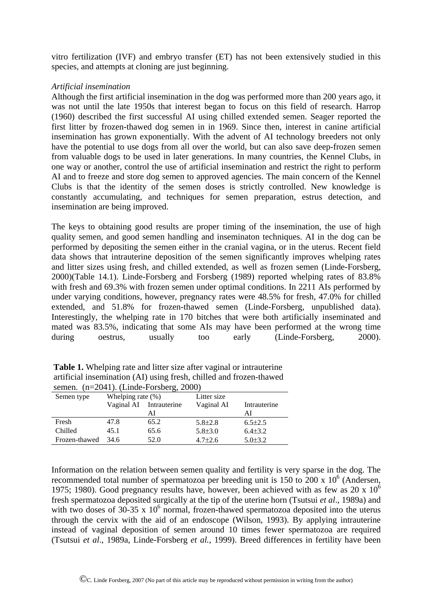vitro fertilization (IVF) and embryo transfer (ET) has not been extensively studied in this species, and attempts at cloning are just beginning.

# *Artificial insemination*

Although the first artificial insemination in the dog was performed more than 200 years ago, it was not until the late 1950s that interest began to focus on this field of research. Harrop (1960) described the first successful AI using chilled extended semen. Seager reported the first litter by frozen-thawed dog semen in in 1969. Since then, interest in canine artificial insemination has grown exponentially. With the advent of AI technology breeders not only have the potential to use dogs from all over the world, but can also save deep-frozen semen from valuable dogs to be used in later generations. In many countries, the Kennel Clubs, in one way or another, control the use of artificial insemination and restrict the right to perform AI and to freeze and store dog semen to approved agencies. The main concern of the Kennel Clubs is that the identity of the semen doses is strictly controlled. New knowledge is constantly accumulating, and techniques for semen preparation, estrus detection, and insemination are being improved.

The keys to obtaining good results are proper timing of the insemination, the use of high quality semen, and good semen handling and inseminaton techniques. AI in the dog can be performed by depositing the semen either in the cranial vagina, or in the uterus. Recent field data shows that intrauterine deposition of the semen significantly improves whelping rates and litter sizes using fresh, and chilled extended, as well as frozen semen (Linde-Forsberg, 2000)(Table 14.1). Linde-Forsberg and Forsberg (1989) reported whelping rates of 83.8% with fresh and 69.3% with frozen semen under optimal conditions. In 2211 AIs performed by under varying conditions, however, pregnancy rates were 48.5% for fresh, 47.0% for chilled extended, and 51.8% for frozen-thawed semen (Linde-Forsberg, unpublished data). Interestingly, the whelping rate in 170 bitches that were both artificially inseminated and mated was 83.5%, indicating that some AIs may have been performed at the wrong time during oestrus, usually too early (Linde-Forsberg, 2000).

| semen. $(n=2041)$ . (Linde-Forsberg, 2000) |                      |                         |               |               |
|--------------------------------------------|----------------------|-------------------------|---------------|---------------|
| Semen type                                 | Whelping rate $(\%)$ |                         | Litter size   |               |
|                                            |                      | Vaginal AI Intrauterine | Vaginal AI    | Intrauterine  |
|                                            |                      | ΑI                      |               | ΑI            |
| Fresh                                      | 47.8                 | 65.2                    | $5.8 \pm 2.8$ | $6.5 \pm 2.5$ |
| Chilled                                    | 45.1                 | 65.6                    | $5.8 \pm 3.0$ | $6.4\pm3.2$   |
| Frozen-thawed                              | 34.6                 | 52.0                    | $4.7 \pm 2.6$ | $5.0 \pm 3.2$ |

**Table 1.** Whelping rate and litter size after vaginal or intrauterine artificial insemination (AI) using fresh, chilled and frozen-thawed

Information on the relation between semen quality and fertility is very sparse in the dog. The recommended total number of spermatozoa per breeding unit is  $150$  to  $200 \times 10^6$  (Andersen, 1975; 1980). Good pregnancy results have, however, been achieved with as few as  $20 \times 10^6$ fresh spermatozoa deposited surgically at the tip of the uterine horn (Tsutsui *et al*., 1989a) and with two doses of 30-35 x  $10^6$  normal, frozen-thawed spermatozoa deposited into the uterus through the cervix with the aid of an endoscope (Wilson, 1993). By applying intrauterine instead of vaginal deposition of semen around 10 times fewer spermatozoa are required (Tsutsui *et al*., 1989a, Linde-Forsberg *et al.*, 1999). Breed differences in fertility have been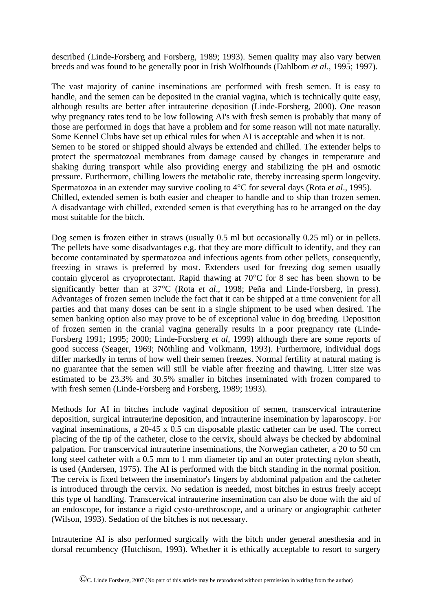described (Linde-Forsberg and Forsberg, 1989; 1993). Semen quality may also vary betwen breeds and was found to be generally poor in Irish Wolfhounds (Dahlbom *et al*., 1995; 1997).

The vast majority of canine inseminations are performed with fresh semen. It is easy to handle, and the semen can be deposited in the cranial vagina, which is technically quite easy, although results are better after intrauterine deposition (Linde-Forsberg, 2000). One reason why pregnancy rates tend to be low following AI's with fresh semen is probably that many of those are performed in dogs that have a problem and for some reason will not mate naturally. Some Kennel Clubs have set up ethical rules for when AI is acceptable and when it is not. Semen to be stored or shipped should always be extended and chilled. The extender helps to protect the spermatozoal membranes from damage caused by changes in temperature and shaking during transport while also providing energy and stabilizing the pH and osmotic pressure. Furthermore, chilling lowers the metabolic rate, thereby increasing sperm longevity. Spermatozoa in an extender may survive cooling to 4°C for several days (Rota *et al*., 1995). Chilled, extended semen is both easier and cheaper to handle and to ship than frozen semen. A disadvantage with chilled, extended semen is that everything has to be arranged on the day most suitable for the bitch.

Dog semen is frozen either in straws (usually 0.5 ml but occasionally 0.25 ml) or in pellets. The pellets have some disadvantages e.g. that they are more difficult to identify, and they can become contaminated by spermatozoa and infectious agents from other pellets, consequently, freezing in straws is preferred by most. Extenders used for freezing dog semen usually contain glycerol as cryoprotectant. Rapid thawing at 70°C for 8 sec has been shown to be significantly better than at 37°C (Rota *et al*., 1998; Peña and Linde-Forsberg, in press). Advantages of frozen semen include the fact that it can be shipped at a time convenient for all parties and that many doses can be sent in a single shipment to be used when desired. The semen banking option also may prove to be of exceptional value in dog breeding. Deposition of frozen semen in the cranial vagina generally results in a poor pregnancy rate (Linde-Forsberg 1991; 1995; 2000; Linde-Forsberg *et al*, 1999) although there are some reports of good success (Seager, 1969; Nöthling and Volkmann, 1993). Furthermore, individual dogs differ markedly in terms of how well their semen freezes. Normal fertility at natural mating is no guarantee that the semen will still be viable after freezing and thawing. Litter size was estimated to be 23.3% and 30.5% smaller in bitches inseminated with frozen compared to with fresh semen (Linde-Forsberg and Forsberg, 1989; 1993).

Methods for AI in bitches include vaginal deposition of semen, transcervical intrauterine deposition, surgical intrauterine deposition, and intrauterine insemination by laparoscopy. For vaginal inseminations, a 20-45 x 0.5 cm disposable plastic catheter can be used. The correct placing of the tip of the catheter, close to the cervix, should always be checked by abdominal palpation. For transcervical intrauterine inseminations, the Norwegian catheter, a 20 to 50 cm long steel catheter with a 0.5 mm to 1 mm diameter tip and an outer protecting nylon sheath, is used (Andersen, 1975). The AI is performed with the bitch standing in the normal position. The cervix is fixed between the inseminator's fingers by abdominal palpation and the catheter is introduced through the cervix. No sedation is needed, most bitches in estrus freely accept this type of handling. Transcervical intrauterine insemination can also be done with the aid of an endoscope, for instance a rigid cysto-urethroscope, and a urinary or angiographic catheter (Wilson, 1993). Sedation of the bitches is not necessary.

Intrauterine AI is also performed surgically with the bitch under general anesthesia and in dorsal recumbency (Hutchison, 1993). Whether it is ethically acceptable to resort to surgery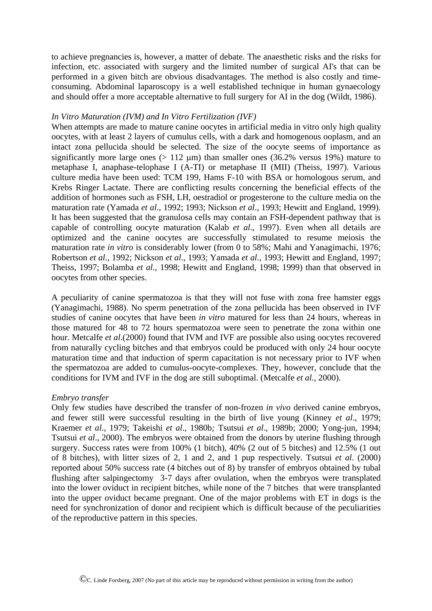to achieve pregnancies is, however, a matter of debate. The anaesthetic risks and the risks for infection, etc. associated with surgery and the limited number of surgical AI's that can be performed in a given bitch are obvious disadvantages. The method is also costly and timeconsuming. Abdominal laparoscopy is a well established technique in human gynaecology and should offer a more acceptable alternative to full surgery for AI in the dog (Wildt, 1986).

# *In Vitro Maturation (IVM) and In Vitro Fertilization (IVF)*

When attempts are made to mature canine oocytes in artificial media in vitro only high quality oocytes, with at least 2 layers of cumulus cells, with a dark and homogenous ooplasm, and an intact zona pellucida should be selected. The size of the oocyte seems of importance as significantly more large ones ( $> 112$  µm) than smaller ones (36.2% versus 19%) mature to metaphase I, anaphase-telophase I (A-TI) or metaphase II (MII) (Theiss, 1997). Various culture media have been used: TCM 199, Hams F-10 with BSA or homologous serum, and Krebs Ringer Lactate. There are conflicting results concerning the beneficial effects of the addition of hormones such as FSH, LH, oestradiol or progesterone to the culture media on the maturation rate (Yamada *et al*., 1992; 1993; Nickson *et al*., 1993; Hewitt and England, 1999). It has been suggested that the granulosa cells may contain an FSH-dependent pathway that is capable of controlling oocyte maturation (Kalab *et al*., 1997). Even when all details are optimized and the canine oocytes are successfully stimulated to resume meiosis the maturation rate *in vitro* is considerably lower (from 0 to 58%; Mahi and Yanagimachi, 1976; Robertson *et al*., 1992; Nickson *et al*., 1993; Yamada *et al*., 1993; Hewitt and England, 1997; Theiss, 1997; Bolamba *et al*., 1998; Hewitt and England, 1998; 1999) than that observed in oocytes from other species.

A peculiarity of canine spermatozoa is that they will not fuse with zona free hamster eggs (Yanagimachi, 1988). No sperm penetration of the zona pellucida has been observed in IVF studies of canine oocytes that have been *in vitro* matured for less than 24 hours, whereas in those matured for 48 to 72 hours spermatozoa were seen to penetrate the zona within one hour. Metcalfe *et al*.(2000) found that IVM and IVF are possible also using oocytes recovered from naturally cycling bitches and that embryos could be produced with only 24 hour oocyte maturation time and that induction of sperm capacitation is not necessary prior to IVF when the spermatozoa are added to cumulus-oocyte-complexes. They, however, conclude that the conditions for IVM and IVF in the dog are still suboptimal. (Metcalfe *et al.,* 2000).

# *Embryo transfer*

Only few studies have described the transfer of non-frozen *in vivo* derived canine embryos, and fewer still were successful resulting in the birth of live young (Kinney *et al*., 1979; Kraemer *et al*., 1979; Takeishi *et al*., 1980b*;* Tsutsui *et al*., 1989b; 2000; Yong-jun, 1994; Tsutsui *et al*., 2000). The embryos were obtained from the donors by uterine flushing through surgery. Success rates were from 100% (1 bitch), 40% (2 out of 5 bitches) and 12.5% (1 out of 8 bitches), with litter sizes of 2, 1 and 2, and 1 pup respectively. Tsutsui *et al*. (2000) reported about 50% success rate (4 bitches out of 8) by transfer of embryos obtained by tubal flushing after salpingectomy 3-7 days after ovulation, when the embryos were transplated into the lower oviduct in recipient bitches, while none of the 7 bitches that were transplanted into the upper oviduct became pregnant. One of the major problems with ET in dogs is the need for synchronization of donor and recipient which is difficult because of the peculiarities of the reproductive pattern in this species.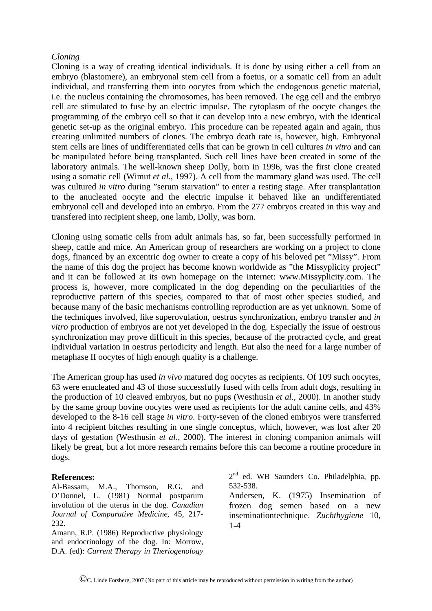# *Cloning*

Cloning is a way of creating identical individuals. It is done by using either a cell from an embryo (blastomere), an embryonal stem cell from a foetus, or a somatic cell from an adult individual, and transferring them into oocytes from which the endogenous genetic material, i.e. the nucleus containing the chromosomes, has been removed. The egg cell and the embryo cell are stimulated to fuse by an electric impulse. The cytoplasm of the oocyte changes the programming of the embryo cell so that it can develop into a new embryo, with the identical genetic set-up as the original embryo. This procedure can be repeated again and again, thus creating unlimited numbers of clones. The embryo death rate is, however, high. Embryonal stem cells are lines of undifferentiated cells that can be grown in cell cultures *in vitro* and can be manipulated before being transplanted. Such cell lines have been created in some of the laboratory animals. The well-known sheep Dolly, born in 1996, was the first clone created using a somatic cell (Wimut *et al*., 1997). A cell from the mammary gland was used. The cell was cultured *in vitro* during "serum starvation" to enter a resting stage. After transplantation to the anucleated oocyte and the electric impulse it behaved like an undifferentiated embryonal cell and developed into an embryo. From the 277 embryos created in this way and transfered into recipient sheep, one lamb, Dolly, was born.

Cloning using somatic cells from adult animals has, so far, been successfully performed in sheep, cattle and mice. An American group of researchers are working on a project to clone dogs, financed by an excentric dog owner to create a copy of his beloved pet "Missy". From the name of this dog the project has become known worldwide as "the Missyplicity project" and it can be followed at its own homepage on the internet: www.Missyplicity.com. The process is, however, more complicated in the dog depending on the peculiarities of the reproductive pattern of this species, compared to that of most other species studied, and because many of the basic mechanisms controlling reproduction are as yet unknown. Some of the techniques involved, like superovulation, oestrus synchronization, embryo transfer and *in vitro* production of embryos are not yet developed in the dog. Especially the issue of oestrous synchronization may prove difficult in this species, because of the protracted cycle, and great individual variation in oestrus periodicity and length. But also the need for a large number of metaphase II oocytes of high enough quality is a challenge.

The American group has used *in vivo* matured dog oocytes as recipients. Of 109 such oocytes, 63 were enucleated and 43 of those successfully fused with cells from adult dogs, resulting in the production of 10 cleaved embryos, but no pups (Westhusin *et al*., 2000). In another study by the same group bovine oocytes were used as recipients for the adult canine cells, and 43% developed to the 8-16 cell stage *in vitro*. Forty-seven of the cloned embryos were transferred into 4 recipient bitches resulting in one single conceptus, which, however, was lost after 20 days of gestation (Westhusin *et al*., 2000). The interest in cloning companion animals will likely be great, but a lot more research remains before this can become a routine procedure in dogs.

# **References:**

Al-Bassam, M.A., Thomson, R.G. and O'Donnel, L. (1981) Normal postparum involution of the uterus in the dog. *Canadian Journal of Comparative Medicine*, 45, 217- 232.

Amann, R.P. (1986) Reproductive physiology and endocrinology of the dog. In: Morrow, D.A. (ed): *Current Therapy in Theriogenology*

 $2<sup>nd</sup>$  ed. WB Saunders Co. Philadelphia, pp. 532-538.

Andersen, K. (1975) Insemination of frozen dog semen based on a new inseminationtechnique. *Zuchthygiene* 10, 1-4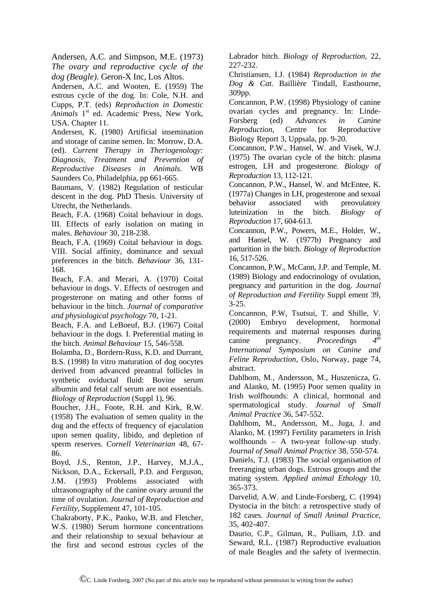Andersen, A.C. and Simpson, M.E. (1973) *The ovary and reproductive cycle of the dog (Beagle)*. Geron-X Inc, Los Altos.

Andersen, A.C. and Wooten, E. (1959) The estrous cycle of the dog. In: Cole, N.H. and Cupps, P.T. (eds) *Reproduction in Domestic Animals* 1<sup>st</sup> ed. Academic Press, New York, USA. Chapter 11.

Andersen, K. (1980) Artificial insemination and storage of canine semen. In: Morrow, D.A. (ed). *Current Therapy in Theriogenology: Diagnosis, Treatment and Prevention of Reproductive Diseases in Animals*. WB Saunders Co, Philadelphia, pp 661-665.

Baumans, V. (1982) Regulation of testicular descent in the dog. PhD Thesis. University of Utrecht, the Netherlands.

Beach, F.A. (1968) Coital behaviour in dogs. III. Effects of early isolation on mating in males. *Behaviour* 30, 218-238.

Beach, F.A. (1969) Coital behaviour in dogs. VIII. Social affinity, dominance and sexual preferences in the bitch. *Behaviour* 36, 131- 168.

Beach, F.A. and Merari, A. (1970) Coital behaviour in dogs. V. Effects of oestrogen and progesterone on mating and other forms of behaviour in the bitch. *Journal of comparative and physiological psychology* 70, 1-21.

Beach, F.A. and LeBoeuf, B.J. (1967) Coital behaviour in the dogs. I. Preferential mating in the bitch. *Animal Behaviour* 15, 546-558.

Bolamba, D., Bordern-Russ, K.D. and Durrant, B.S. (1998) In vitro maturation of dog oocytes derived from advanced preantral follicles in synthetic oviductal fluid: Bovine serum albumin and fetal calf serum are not essentials. *Biology of Reproduction* (Suppl 1), 96.

Boucher, J.H., Foote, R.H. and Kirk, R.W. (1958) The evaluation of semen quality in the dog and the effects of frequency of ejaculation upon semen quality, libido, and depletion of sperm reserves. *Cornell Veterinarian* 48, 67- 86.

Boyd, J.S., Renton, J.P., Harvey, M.J.A., Nickson, D.A., Eckersall, P.D. and Ferguson, J.M. (1993) Problems associated with ultrasonography of the canine ovary around the time of ovulation. *Journal of Reproduction and Fertility*, Supplement 47, 101-105.

Chakraborty, P.K., Panko, W.B. and Fletcher, W.S. (1980) Serum hormone concentrations and their relationship to sexual behaviour at the first and second estrous cycles of the

Labrador bitch. *Biology of Reproduction*, 22, 227-232.

Christiansen, I.J. (1984) *Reproduction in the Dog & Cat.* Baillière Tindall, Eastbourne, 309pp.

Concannon, P.W. (1998) Physiology of canine ovarian cycles and pregnancy. In: Linde-Forsberg (ed) *Advances in Canine Reproduction*, Centre for Reproductive Biology Report 3, Uppsala, pp. 9-20.

Concannon, P.W., Hansel, W. and Visek, W.J. (1975) The ovarian cycle of the bitch: plasma estrogen, LH and progesterone. *Biology of Reproduction* 13, 112-121.

Concannon, P.W., Hansel, W. and McEntee, K. (1977a) Changes in LH, progesterone and sexual behavior associated with preovulatory luteinization in the bitch. *Biology of Reproduction* 17, 604-613.

Concannon, P.W., Powers, M.E., Holder, W., and Hansel, W. (1977b) Pregnancy and parturition in the bitch. *Biology of Reproduction* 16, 517-526.

Concannon, P.W., McCann, J.P. and Temple, M. (1989) Biology and endocrinology of ovulation, pregnancy and parturition in the dog. *Journal of Reproduction and Fertility* Suppl ement 39,  $3 - 25.$ 

Concannon, P.W, Tsutsui, T. and Shille, V. (2000) Embryo development, hormonal requirements and maternal responses during<br>canine pregnancy  $Proceedinos \frac{d^{th}}{dt}$ canine pregnancy. *Proceedings International Symposium on Canine and Feline Reproduction*, Oslo, Norway, page 74, abstract.

Dahlbom, M., Andersson, M., Huszenicza, G. and Alanko, M. (1995) Poor semen quality in Irish wolfhounds: A clinical, hormonal and spermatological study. *Journal of Small Animal Practice* 36, 547-552.

Dahlbom, M., Andersson, M., Juga, J. and Alanko, M. (1997) Fertility parameters in Irish wolfhounds – A two-year follow-up study. *Journal of Small Animal Practice* 38, 550-574.

Daniels, T.J. (1983) The social organisation of freeranging urban dogs. Estrous groups and the mating system. *Applied animal Ethology* 10, 365-373.

Darvelid, A.W. and Linde-Forsberg, C. (1994) Dystocia in the bitch: a retrospective study of 182 cases. *Journal of Small Animal Practice*, 35, 402-407.

Daurio, C.P., Gilman, R., Pulliam, J.D. and Seward, R.L. (1987) Reproductive evaluation of male Beagles and the safety of ivermectin.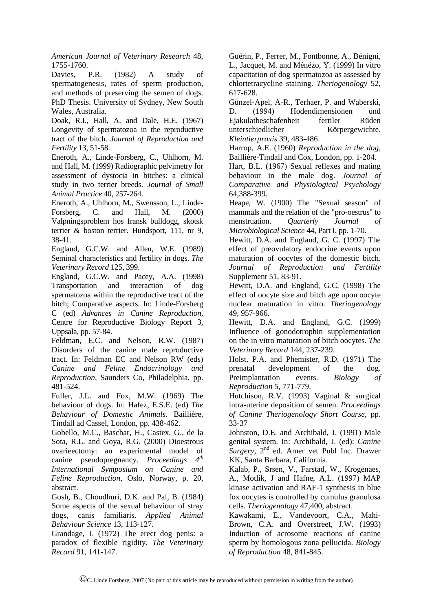*American Journal of Veterinary Research* 48, 1755-1760.

Davies, P.R. (1982) A study of spermatogenesis, rates of sperm production, and methods of preserving the semen of dogs. PhD Thesis. University of Sydney, New South Wales, Australia.

Doak, R.I., Hall, A. and Dale, H.E. (1967) Longevity of spermatozoa in the reproductive tract of the bitch. *Journal of Reproduction and Fertility* 13, 51-58.

Eneroth, A., Linde-Forsberg, C., Uhlhorn, M. and Hall, M. (1999) Radiographic pelvimetry for assessment of dystocia in bitches: a clinical study in two terrier breeds. *Journal of Small Animal Practice* 40, 257-264.

Eneroth, A., Uhlhorn, M., Swensson, L., Linde-Forsberg, C. and Hall, M. (2000) Valpningsproblem hos fransk bulldogg, skotsk terrier & boston terrier. Hundsport, 111, nr 9, 38-41.

England, G.C.W. and Allen, W.E. (1989) Seminal characteristics and fertility in dogs. *The Veterinary Record* 125, 399.

England, G.C.W. and Pacey, A.A. (1998) Transportation and interaction of dog spermatozoa within the reproductive tract of the bitch; Comparative aspects. In: Linde-Forsberg C (ed) *Advances in Canine Reproduction*, Centre for Reproductive Biology Report 3, Uppsala, pp. 57-84.

Feldman, E.C. and Nelson, R.W. (1987) Disorders of the canine male reproductive tract. In: Feldman EC and Nelson RW (eds) *Canine and Feline Endocrinology and Reproduction*, Saunders Co, Philadelphia, pp. 481-524.

Fuller, J.L. and Fox, M.W. (1969) The behaviour of dogs. In: Hafez, E.S.E. (ed) *The Behaviour of Domestic Animals*. Baillière, Tindall ad Cassel, London, pp. 438-462.

Gobello, M.C., Baschar, H., Castex, G., de la Sota, R.L. and Goya, R.G. (2000) Dioestrous ovarieectomy: an experimental model of canine pseudopregnancy. *Proceedings 4th International Symposium on Canine and Feline Reproduction*, Oslo, Norway, p. 20, abstract.

Gosh, B., Choudhuri, D.K. and Pal, B. (1984) Some aspects of the sexual behaviour of stray dogs, canis familiaris. *Applied Animal Behaviour Science* 13, 113-127.

Grandage, J. (1972) The erect dog penis: a paradox of flexible rigidity. *The Veterinary Record* 91, 141-147.

Guérin, P., Ferrer, M., Fontbonne, A., Bénigni, L., Jacquet, M. and Ménézo, Y. (1999) In vitro capacitation of dog spermatozoa as assessed by chlortetracycline staining. *Theriogenology* 52, 617-628.

Günzel-Apel, A-R., Terhaer, P. and Waberski, D. (1994) Hodendimensionen und Ejakulatbeschafenheit fertiler Rüden unterschiedlicher Körpergewichte. *Kleintierpraxis* 39, 483-486.

Harrop, A.E. (1960) *Reproduction in the dog*, Baillière-Tindall and Cox, London, pp. 1-204.

Hart, B.L. (1967) Sexual reflexes and mating behaviour in the male dog. *Journal of Comparative and Physiological Psychology* 64,388-399.

Heape, W. (1900) The "Sexual season" of mammals and the relation of the "pro-oestrus" to menstruation. *Quarterly Journal of Microbiological Science* 44, Part I, pp. 1-70.

Hewitt, D.A. and England, G. C. (1997) The effect of preovulatory endocrine events upon maturation of oocytes of the domestic bitch. *Journal of Reproduction and Fertility* Supplement 51, 83-91.

Hewitt, D.A. and England, G.C. (1998) The effect of oocyte size and bitch age upon oocyte nuclear maturation in vitro. *Theriogenology* 49, 957-966.

Hewitt, D.A. and England, G.C. (1999) Influence of gonodotrophin supplementation on the in vitro maturation of bitch oocytes. *The Veterinary Record* 144, 237-239.

Holst, P.A. and Phemister, R.D. (1971) The prenatal development of the dog. Preimplantation events. *Biology of Reproduction* 5, 771-779.

Hutchison, R.V. (1993) Vaginal & surgical intra-uterine deposition of semen*. Proceedings of Canine Theriogenology Short Course*, pp. 33-37

Johnston, D.E. and Archibald, J. (1991) Male genital system. In: Archibald, J. (ed): *Canine Surgery*, 2<sup>nd</sup> ed. Amer vet Publ Inc. Drawer KK, Santa Barbara, California.

Kalab, P., Srsen, V., Farstad, W., Krogenaes, A., Motlik, J and Hafne, A.L. (1997) MAP kinase activation and RAF-1 synthesis in blue fox oocytes is controlled by cumulus granulosa cells. *Theriogenology* 47,400, abstract.

Kawakami, E., Vandevoort, C.A., Mahi-Brown, C.A. and Overstreet, J.W. (1993) Induction of acrosome reactions of canine sperm by homologous zona pellucida. *Biology of Reproduction* 48, 841-845.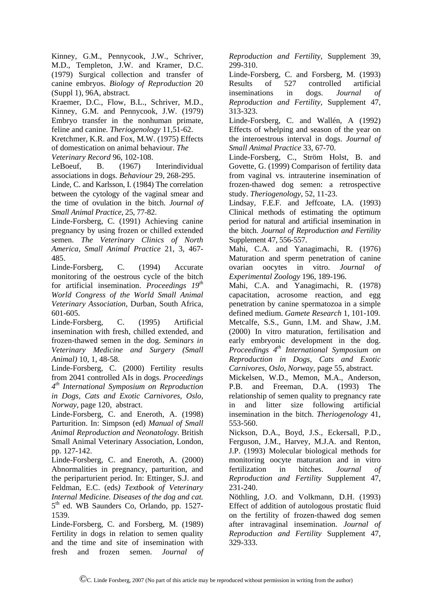Kinney, G.M., Pennycook, J.W., Schriver, M.D., Templeton, J.W. and Kramer, D.C. (1979) Surgical collection and transfer of canine embryos. *Biology of Reproduction* 20 (Suppl 1), 96A, abstract.

Kraemer, D.C., Flow, B.L., Schriver, M.D., Kinney, G.M. and Pennycook, J.W. (1979) Embryo transfer in the nonhuman primate, feline and canine. *Theriogenology* 11,51-62.

Kretchmer, K.R. and Fox, M.W. (1975) Effects of domestication on animal behaviour. *The Veterinary Record* 96, 102-108.

LeBoeuf, B. (1967) Interindividual associations in dogs. *Behaviour* 29, 268-295.

Linde, C. and Karlsson, I. (1984) The correlation between the cytology of the vaginal smear and the time of ovulation in the bitch. *Journal of Small Animal Practice*, 25, 77-82.

Linde-Forsberg, C. (1991) Achieving canine pregnancy by using frozen or chilled extended semen. *The Veterinary Clinics of North America, Small Animal Practice* 21, 3, 467- 485.

Linde-Forsberg, C. (1994) Accurate monitoring of the oestrous cycle of the bitch for artificial insemination. *Proceedings 19th World Congress of the World Small Animal Veterinary Association*, Durban, South Africa, 601-605.

Linde-Forsberg, C. (1995) Artificial insemination with fresh, chilled extended, and frozen-thawed semen in the dog. *Seminars in Veterinary Medicine and Surgery (Small Animal)* 10, 1, 48-58.

Linde-Forsberg, C. (2000) Fertility results from 2041 controlled AIs in dogs. *Proceedings 4th International Symposium on Reproduction in Dogs, Cats and Exotic Carnivores, Oslo, Norway*, page 120,abstract.

Linde-Forsberg, C. and Eneroth, A. (1998) Parturition. In: Simpson (ed) *Manual of Small Animal Reproduction and Neonatology*. British Small Animal Veterinary Association, London, pp. 127-142.

Linde-Forsberg, C. and Eneroth, A. (2000) Abnormalities in pregnancy, parturition, and the periparturient period. In: Ettinger, S.J. and Feldman, E.C. (eds*) Textbook of Veterinary Internal Medicine. Diseases of the dog and cat.*  $5<sup>th</sup>$  ed. WB Saunders Co, Orlando, pp. 1527-1539.

Linde-Forsberg, C. and Forsberg, M. (1989) Fertility in dogs in relation to semen quality and the time and site of insemination with fresh and frozen semen. *Journal of*

*Reproduction and Fertility*, Supplement 39, 299-310.

Linde-Forsberg, C. and Forsberg, M. (1993) Results of 527 controlled artificial inseminations in dogs. *Journal of Reproduction and Fertility,* Supplement 47, 313-323.

Linde-Forsberg, C. and Wallén, A (1992) Effects of whelping and season of the year on the interoestrous interval in dogs. *Journal of Small Animal Practice* 33, 67-70.

Linde-Forsberg, C., Ström Holst, B. and Govette, G. (1999) Comparison of fertility data from vaginal vs. intrauterine insemination of frozen-thawed dog semen: a retrospective study. *Theriogenology*, 52, 11-23.

Lindsay, F.E.F. and Jeffcoate, I.A. (1993) Clinical methods of estimating the optimum period for natural and artificial insemination in the bitch. *Journal of Reproduction and Fertility*  Supplement 47, 556-557.

Mahi, C.A. and Yanagimachi, R. (1976) Maturation and sperm penetration of canine ovarian oocytes in vitro. *Journal of Experimental Zoology* 196, 189-196.

Mahi, C.A. and Yanagimachi, R. (1978) capacitation, acrosome reaction, and egg penetration by canine spermatozoa in a simple defined medium. *Gamete Research* 1, 101-109. Metcalfe, S.S., Gunn, I.M. and Shaw, J.M. (2000) In vitro maturation, fertilisation and early embryonic development in the dog. *Proceedings 4th International Symposium on Reproduction in Dogs, Cats and Exotic Carnivores, Oslo, Norway*, page 55, abstract.

Mickelsen, W.D., Memon, M.A., Anderson, P.B. and Freeman, D.A. (1993) The relationship of semen quality to pregnancy rate in and litter size following artificial insemination in the bitch. *Theriogenology* 41, 553-560.

Nickson, D.A., Boyd, J.S., Eckersall, P.D., Ferguson, J.M., Harvey, M.J.A. and Renton, J.P. (1993) Molecular biological methods for monitoring oocyte maturation and in vitro fertilization in bitches. *Journal of Reproduction and Fertility* Supplement 47, 231-240.

Nöthling, J.O. and Volkmann, D.H. (1993) Effect of addition of autologous prostatic fluid on the fertility of frozen-thawed dog semen after intravaginal insemination. *Journal of Reproduction and Fertility* Supplement 47, 329-333.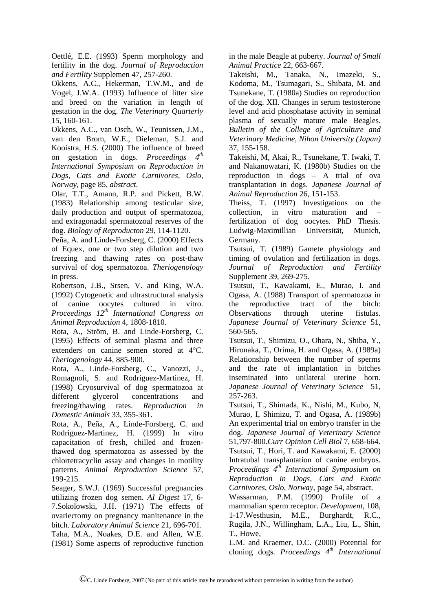Oettlé, E.E. (1993) Sperm morphology and fertility in the dog. *Journal of Reproduction and Fertility* Supplemen 47, 257-260.

Okkens, A.C., Hekerman, T.W.M., and de Vogel, J.W.A. (1993) Influence of litter size and breed on the variation in length of gestation in the dog. *The Veterinary Quarterly* 15, 160-161.

Okkens, A.C., van Osch, W., Teunissen, J.M., van den Brom, W.E., Dieleman, S.J. and Kooistra, H.S. (2000) The influence of breed on gestation in dogs. *Proceedings 4th International Symposium on Reproduction in Dogs, Cats and Exotic Carnivores, Oslo, Norway*, page 85, *abstract*.

Olar, T.T., Amann, R.P. and Pickett, B.W. (1983) Relationship among testicular size, daily production and output of spermatozoa, and extragonadal spermatozoal reserves of the dog. *Biology of Reproducton* 29, 114-1120.

Peña, A. and Linde-Forsberg, C. (2000) Effects of Equex, one or two step dilution and two freezing and thawing rates on post-thaw survival of dog spermatozoa. *Theriogenology* in press.

Robertson, J.B., Srsen, V. and King, W.A. (1992) Cytogenetic and ultrastructural analysis of canine oocytes cultured in vitro. *Proceedings 12th International Congress on Animal Reproduction* 4, 1808-1810.

Rota, A., Ström, B. and Linde-Forsberg, C. (1995) Effects of seminal plasma and three extenders on canine semen stored at 4°C. *Theriogenology* 44, 885-900.

Rota, A., Linde-Forsberg, C., Vanozzi, J., Romagnoli, S. and Rodriguez-Martinez, H. (1998) Cryosurvival of dog spermatozoa at different glycerol concentrations and freezing/thawing rates. *Reproduction in Domestic Animals* 33, 355-361.

Rota, A., Peña, A., Linde-Forsberg, C. and Rodriguez-Martinez, H. (1999) In vitro capacitation of fresh, chilled and frozenthawed dog spermatozoa as assessed by the chlortetracyclin assay and changes in motility patterns. *Animal Reproduction Science* 57, 199-215.

Seager, S.W.J. (1969) Successful pregnancies utilizing frozen dog semen. *AI Digest* 17, 6- 7.Sokolowski, J.H. (1971) The effects of ovariectomy on pregnancy manitenance in the bitch. *Laboratory Animal Science* 21, 696-701. Taha, M.A., Noakes, D.E. and Allen, W.E. (1981) Some aspects of reproductive function

in the male Beagle at puberty. *Journal of Small Animal Practice* 22, 663-667.

Takeishi, M., Tanaka, N., Imazeki, S., Kodoma, M., Tsumagari, S., Shibata, M. and Tsunekane, T. (1980a) Studies on reproduction of the dog. XII. Changes in serum testosterone level and acid phosphatase activity in seminal plasma of sexually mature male Beagles. *Bulletin of the College of Agriculture and Veterinary Medicine, Nihon University (Japan)* 37, 155-158.

Takeishi, M, Akai, R., Tsunekane, T. Iwaki, T. and Nakanowatari, K. (1980b) Studies on the reproduction in dogs – A trial of ova transplantation in dogs. *Japanese Journal of Animal Reproduction* 26, 151-153.

Theiss, T. (1997) Investigations on the collection, in vitro maturation and – fertilization of dog oocytes. PhD Thesis. Ludwig-Maximillian Universität, Munich, Germany.

Tsutsui, T. (1989) Gamete physiology and timing of ovulation and fertilization in dogs. *Journal of Reproduction and Fertility* Supplement 39, 269-275.

Tsutsui, T., Kawakami, E., Murao, I. and Ogasa, A. (1988) Transport of spermatozoa in the reproductive tract of the bitch: Observations through uterine fistulas. *Japanese Journal of Veterinary Science* 51, 560-565.

Tsutsui, T., Shimizu, O., Ohara, N., Shiba, Y., Hironaka, T., Orima, H. and Ogasa, A. (1989a) Relationship between the number of sperms and the rate of implantation in bitches inseminated into unilateral uterine horn. *Japanese Journal of Veterinary Science* 51, 257-263.

Tsutsui, T., Shimada, K., Nishi, M., Kubo, N, Murao, I, Shimizu, T. and Ogasa, A. (1989b) An experimental trial on embryo transfer in the dog. *Japanese Journal of Veterinary Science* 51,797-800.*Curr Opinion Cell Biol* 7, 658-664. Tsutsui, T., Hori, T. and Kawakami, E. (2000) Intratubal transplantation of canine embryos. *Proceedings 4th International Symposium on Reproduction in Dogs, Cats and Exotic Carnivores, Oslo, Norway*, page 54, abstract.

Wassarman, P.M. (1990) Profile of a mammalian sperm receptor. *Development*, 108, 1-17.Westhusin, M.E., Burghardt, R.C., Rugila, J.N., Willingham, L.A., Liu, L., Shin, T., Howe,

L.M. and Kraemer, D.C. (2000) Potential for cloning dogs. *Proceedings 4th International*